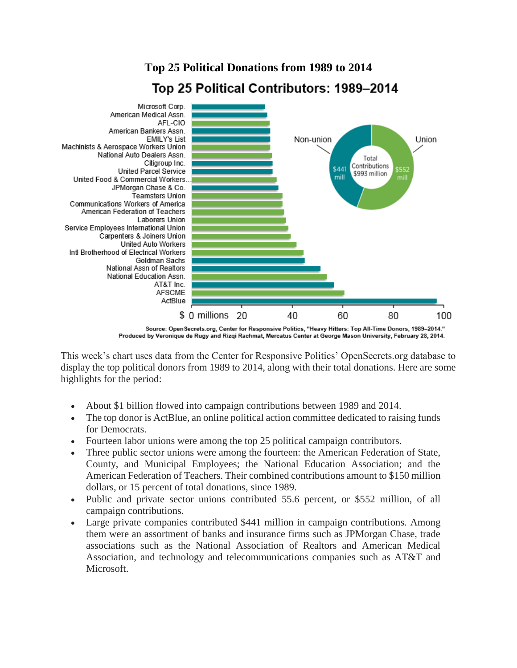## **Top 25 Political Donations from 1989 to 2014** Top 25 Political Contributors: 1989–2014



"Source: Open Secrets.org, Center for Responsive Politics, "Heavy Hitters: Top All-Time Donors, 1989-2014. Produced by Veronique de Rugy and Rizqi Rachmat, Mercatus Center at George Mason University, February 28, 2014.

This week's chart uses data from the Center for Responsive Politics' OpenSecrets.org database to display the top political donors from 1989 to 2014, along with their total donations. Here are some highlights for the period:

- About \$1 billion flowed into campaign contributions between 1989 and 2014.
- The top donor is ActBlue, an online political action committee dedicated to raising funds for Democrats.
- Fourteen labor unions were among the top 25 political campaign contributors.
- Three public sector unions were among the fourteen: the American Federation of State, County, and Municipal Employees; the National Education Association; and the American Federation of Teachers. Their combined contributions amount to \$150 million dollars, or 15 percent of total donations, since 1989.
- Public and private sector unions contributed 55.6 percent, or \$552 million, of all campaign contributions.
- Large private companies contributed \$441 million in campaign contributions. Among them were an assortment of banks and insurance firms such as JPMorgan Chase, trade associations such as the National Association of Realtors and American Medical Association, and technology and telecommunications companies such as AT&T and Microsoft.